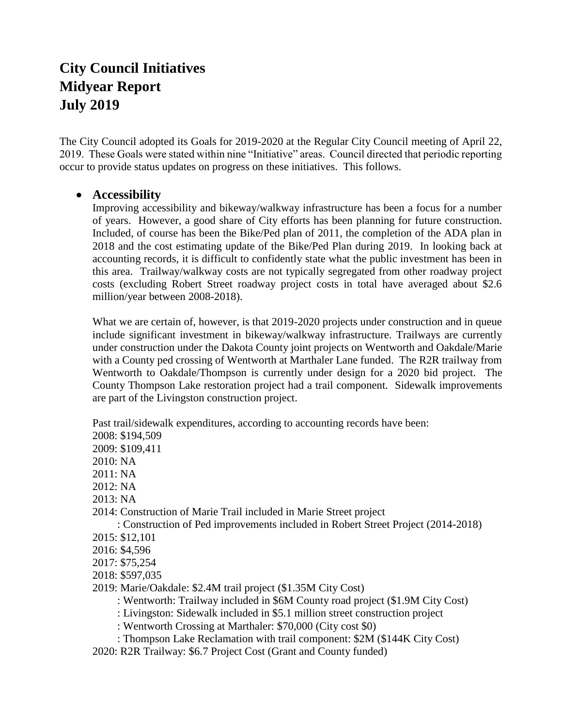# **City Council Initiatives Midyear Report July 2019**

The City Council adopted its Goals for 2019-2020 at the Regular City Council meeting of April 22, 2019. These Goals were stated within nine "Initiative" areas. Council directed that periodic reporting occur to provide status updates on progress on these initiatives. This follows.

## **Accessibility**

Improving accessibility and bikeway/walkway infrastructure has been a focus for a number of years. However, a good share of City efforts has been planning for future construction. Included, of course has been the Bike/Ped plan of 2011, the completion of the ADA plan in 2018 and the cost estimating update of the Bike/Ped Plan during 2019. In looking back at accounting records, it is difficult to confidently state what the public investment has been in this area. Trailway/walkway costs are not typically segregated from other roadway project costs (excluding Robert Street roadway project costs in total have averaged about \$2.6 million/year between 2008-2018).

What we are certain of, however, is that 2019-2020 projects under construction and in queue include significant investment in bikeway/walkway infrastructure. Trailways are currently under construction under the Dakota County joint projects on Wentworth and Oakdale/Marie with a County ped crossing of Wentworth at Marthaler Lane funded. The R2R trailway from Wentworth to Oakdale/Thompson is currently under design for a 2020 bid project. The County Thompson Lake restoration project had a trail component. Sidewalk improvements are part of the Livingston construction project.

Past trail/sidewalk expenditures, according to accounting records have been:

- 2008: \$194,509
- 2009: \$109,411
- $2010: NA$
- 2011: NA
- 2012: NA
- 2013: NA
- 2014: Construction of Marie Trail included in Marie Street project

: Construction of Ped improvements included in Robert Street Project (2014-2018)

- 2015: \$12,101
- 2016: \$4,596
- 2017: \$75,254
- 2018: \$597,035
- 2019: Marie/Oakdale: \$2.4M trail project (\$1.35M City Cost)

: Wentworth: Trailway included in \$6M County road project (\$1.9M City Cost)

- : Livingston: Sidewalk included in \$5.1 million street construction project
- : Wentworth Crossing at Marthaler: \$70,000 (City cost \$0)
- : Thompson Lake Reclamation with trail component: \$2M (\$144K City Cost)
- 2020: R2R Trailway: \$6.7 Project Cost (Grant and County funded)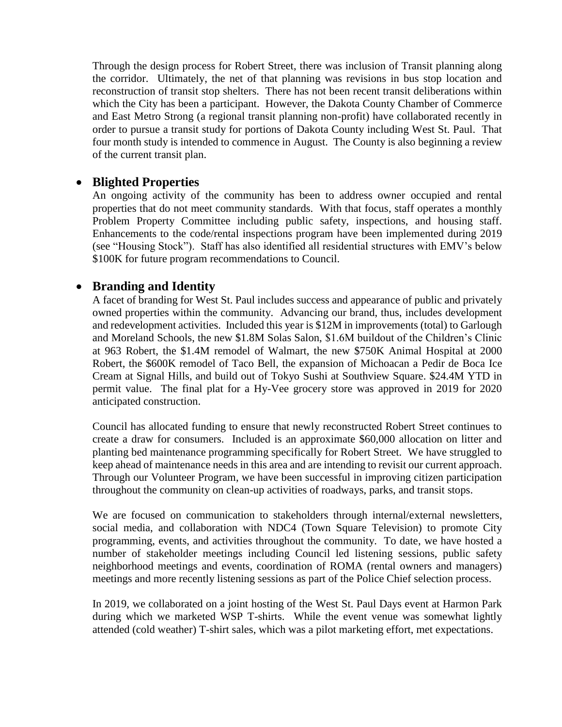Through the design process for Robert Street, there was inclusion of Transit planning along the corridor. Ultimately, the net of that planning was revisions in bus stop location and reconstruction of transit stop shelters. There has not been recent transit deliberations within which the City has been a participant. However, the Dakota County Chamber of Commerce and East Metro Strong (a regional transit planning non-profit) have collaborated recently in order to pursue a transit study for portions of Dakota County including West St. Paul. That four month study is intended to commence in August. The County is also beginning a review of the current transit plan.

## **Blighted Properties**

An ongoing activity of the community has been to address owner occupied and rental properties that do not meet community standards. With that focus, staff operates a monthly Problem Property Committee including public safety, inspections, and housing staff. Enhancements to the code/rental inspections program have been implemented during 2019 (see "Housing Stock"). Staff has also identified all residential structures with EMV's below \$100K for future program recommendations to Council.

## **Branding and Identity**

A facet of branding for West St. Paul includes success and appearance of public and privately owned properties within the community. Advancing our brand, thus, includes development and redevelopment activities. Included this year is \$12M in improvements (total) to Garlough and Moreland Schools, the new \$1.8M Solas Salon, \$1.6M buildout of the Children's Clinic at 963 Robert, the \$1.4M remodel of Walmart, the new \$750K Animal Hospital at 2000 Robert, the \$600K remodel of Taco Bell, the expansion of Michoacan a Pedir de Boca Ice Cream at Signal Hills, and build out of Tokyo Sushi at Southview Square. \$24.4M YTD in permit value. The final plat for a Hy-Vee grocery store was approved in 2019 for 2020 anticipated construction.

Council has allocated funding to ensure that newly reconstructed Robert Street continues to create a draw for consumers. Included is an approximate \$60,000 allocation on litter and planting bed maintenance programming specifically for Robert Street. We have struggled to keep ahead of maintenance needs in this area and are intending to revisit our current approach. Through our Volunteer Program, we have been successful in improving citizen participation throughout the community on clean-up activities of roadways, parks, and transit stops.

We are focused on communication to stakeholders through internal/external newsletters, social media, and collaboration with NDC4 (Town Square Television) to promote City programming, events, and activities throughout the community. To date, we have hosted a number of stakeholder meetings including Council led listening sessions, public safety neighborhood meetings and events, coordination of ROMA (rental owners and managers) meetings and more recently listening sessions as part of the Police Chief selection process.

In 2019, we collaborated on a joint hosting of the West St. Paul Days event at Harmon Park during which we marketed WSP T-shirts. While the event venue was somewhat lightly attended (cold weather) T-shirt sales, which was a pilot marketing effort, met expectations.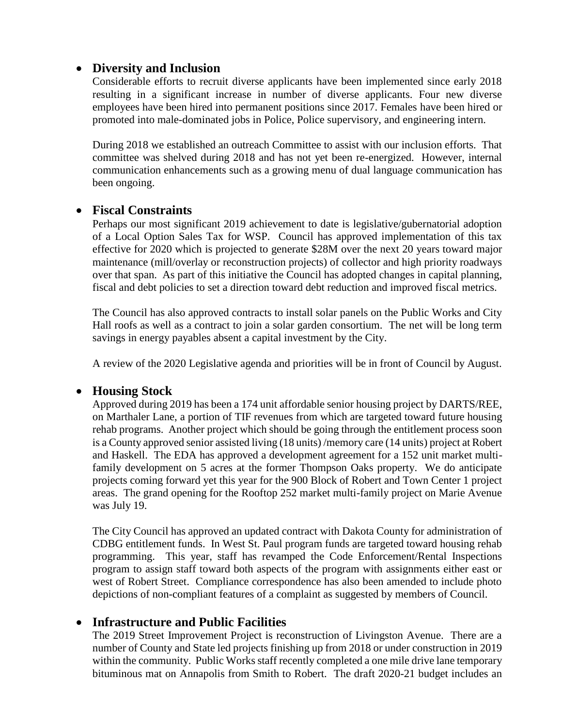## **Diversity and Inclusion**

Considerable efforts to recruit diverse applicants have been implemented since early 2018 resulting in a significant increase in number of diverse applicants. Four new diverse employees have been hired into permanent positions since 2017. Females have been hired or promoted into male-dominated jobs in Police, Police supervisory, and engineering intern.

During 2018 we established an outreach Committee to assist with our inclusion efforts. That committee was shelved during 2018 and has not yet been re-energized. However, internal communication enhancements such as a growing menu of dual language communication has been ongoing.

## **Fiscal Constraints**

Perhaps our most significant 2019 achievement to date is legislative/gubernatorial adoption of a Local Option Sales Tax for WSP. Council has approved implementation of this tax effective for 2020 which is projected to generate \$28M over the next 20 years toward major maintenance (mill/overlay or reconstruction projects) of collector and high priority roadways over that span. As part of this initiative the Council has adopted changes in capital planning, fiscal and debt policies to set a direction toward debt reduction and improved fiscal metrics.

The Council has also approved contracts to install solar panels on the Public Works and City Hall roofs as well as a contract to join a solar garden consortium. The net will be long term savings in energy payables absent a capital investment by the City.

A review of the 2020 Legislative agenda and priorities will be in front of Council by August.

## **Housing Stock**

Approved during 2019 has been a 174 unit affordable senior housing project by DARTS/REE, on Marthaler Lane, a portion of TIF revenues from which are targeted toward future housing rehab programs. Another project which should be going through the entitlement process soon is a County approved senior assisted living (18 units) /memory care (14 units) project at Robert and Haskell. The EDA has approved a development agreement for a 152 unit market multifamily development on 5 acres at the former Thompson Oaks property. We do anticipate projects coming forward yet this year for the 900 Block of Robert and Town Center 1 project areas. The grand opening for the Rooftop 252 market multi-family project on Marie Avenue was July 19.

The City Council has approved an updated contract with Dakota County for administration of CDBG entitlement funds. In West St. Paul program funds are targeted toward housing rehab programming. This year, staff has revamped the Code Enforcement/Rental Inspections program to assign staff toward both aspects of the program with assignments either east or west of Robert Street. Compliance correspondence has also been amended to include photo depictions of non-compliant features of a complaint as suggested by members of Council.

## **Infrastructure and Public Facilities**

The 2019 Street Improvement Project is reconstruction of Livingston Avenue. There are a number of County and State led projects finishing up from 2018 or under construction in 2019 within the community. Public Works staff recently completed a one mile drive lane temporary bituminous mat on Annapolis from Smith to Robert. The draft 2020-21 budget includes an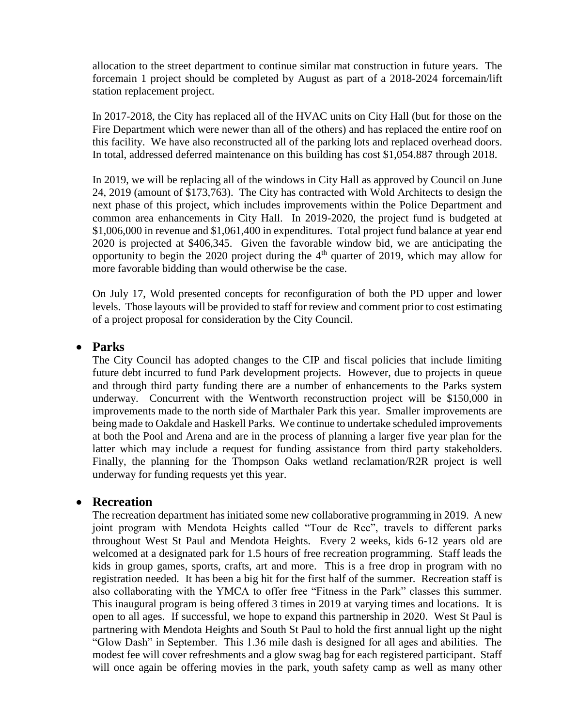allocation to the street department to continue similar mat construction in future years. The forcemain 1 project should be completed by August as part of a 2018-2024 forcemain/lift station replacement project.

In 2017-2018, the City has replaced all of the HVAC units on City Hall (but for those on the Fire Department which were newer than all of the others) and has replaced the entire roof on this facility. We have also reconstructed all of the parking lots and replaced overhead doors. In total, addressed deferred maintenance on this building has cost \$1,054.887 through 2018.

In 2019, we will be replacing all of the windows in City Hall as approved by Council on June 24, 2019 (amount of \$173,763). The City has contracted with Wold Architects to design the next phase of this project, which includes improvements within the Police Department and common area enhancements in City Hall. In 2019-2020, the project fund is budgeted at \$1,006,000 in revenue and \$1,061,400 in expenditures. Total project fund balance at year end 2020 is projected at \$406,345. Given the favorable window bid, we are anticipating the opportunity to begin the 2020 project during the  $4<sup>th</sup>$  quarter of 2019, which may allow for more favorable bidding than would otherwise be the case.

On July 17, Wold presented concepts for reconfiguration of both the PD upper and lower levels. Those layouts will be provided to staff for review and comment prior to cost estimating of a project proposal for consideration by the City Council.

#### **Parks**

The City Council has adopted changes to the CIP and fiscal policies that include limiting future debt incurred to fund Park development projects. However, due to projects in queue and through third party funding there are a number of enhancements to the Parks system underway. Concurrent with the Wentworth reconstruction project will be \$150,000 in improvements made to the north side of Marthaler Park this year. Smaller improvements are being made to Oakdale and Haskell Parks. We continue to undertake scheduled improvements at both the Pool and Arena and are in the process of planning a larger five year plan for the latter which may include a request for funding assistance from third party stakeholders. Finally, the planning for the Thompson Oaks wetland reclamation/R2R project is well underway for funding requests yet this year.

#### **Recreation**

The recreation department has initiated some new collaborative programming in 2019. A new joint program with Mendota Heights called "Tour de Rec", travels to different parks throughout West St Paul and Mendota Heights. Every 2 weeks, kids 6-12 years old are welcomed at a designated park for 1.5 hours of free recreation programming. Staff leads the kids in group games, sports, crafts, art and more. This is a free drop in program with no registration needed. It has been a big hit for the first half of the summer. Recreation staff is also collaborating with the YMCA to offer free "Fitness in the Park" classes this summer. This inaugural program is being offered 3 times in 2019 at varying times and locations. It is open to all ages. If successful, we hope to expand this partnership in 2020. West St Paul is partnering with Mendota Heights and South St Paul to hold the first annual light up the night "Glow Dash" in September. This 1.36 mile dash is designed for all ages and abilities. The modest fee will cover refreshments and a glow swag bag for each registered participant. Staff will once again be offering movies in the park, youth safety camp as well as many other